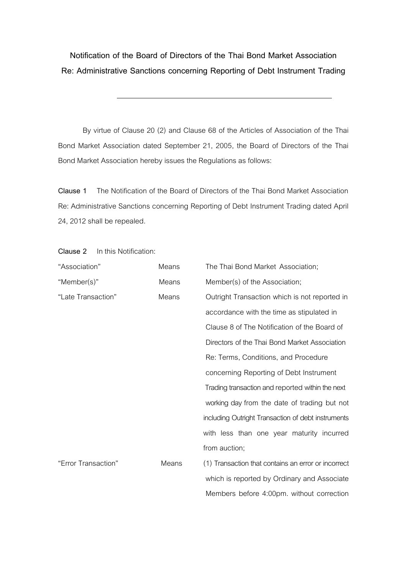**Notification of the Board of Directors of the Thai Bond Market Association Re: Administrative Sanctions concerning Reporting of Debt Instrument Trading**

By virtue of Clause 20 (2) and Clause 68 of the Articles of Association of the Thai Bond Market Association dated September 21, 2005, the Board of Directors of the Thai Bond Market Association hereby issues the Regulations as follows:

**Clause 1** The Notification of the Board of Directors of the Thai Bond Market Association Re: Administrative Sanctions concerning Reporting of Debt Instrument Trading dated April 24, 2012 shall be repealed.

| "Association"       | Means | The Thai Bond Market Association;                   |
|---------------------|-------|-----------------------------------------------------|
| "Member(s)"         | Means | Member(s) of the Association;                       |
| "Late Transaction"  | Means | Outright Transaction which is not reported in       |
|                     |       | accordance with the time as stipulated in           |
|                     |       | Clause 8 of The Notification of the Board of        |
|                     |       | Directors of the Thai Bond Market Association       |
|                     |       | Re: Terms, Conditions, and Procedure                |
|                     |       | concerning Reporting of Debt Instrument             |
|                     |       | Trading transaction and reported within the next    |
|                     |       | working day from the date of trading but not        |
|                     |       | including Outright Transaction of debt instruments  |
|                     |       | with less than one year maturity incurred           |
|                     |       | from auction;                                       |
| "Error Transaction" | Means | (1) Transaction that contains an error or incorrect |
|                     |       | which is reported by Ordinary and Associate         |
|                     |       | Members before 4:00pm. without correction           |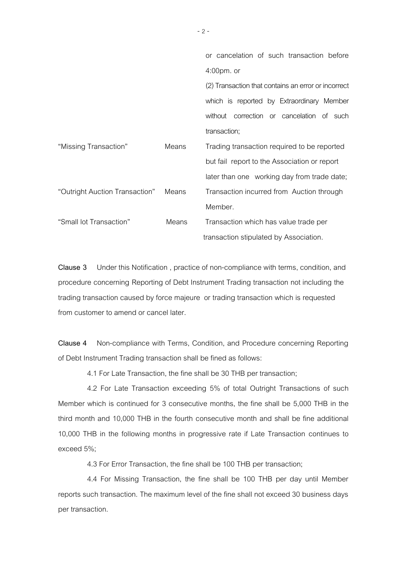|                                |       | or cancelation of such transaction before           |
|--------------------------------|-------|-----------------------------------------------------|
|                                |       | $4:00$ pm. or                                       |
|                                |       | (2) Transaction that contains an error or incorrect |
|                                |       | which is reported by Extraordinary Member           |
|                                |       | without correction or cancelation of such           |
|                                |       | transaction;                                        |
| "Missing Transaction"          | Means | Trading transaction required to be reported         |
|                                |       | but fail report to the Association or report        |
|                                |       | later than one working day from trade date;         |
| "Outright Auction Transaction" | Means | Transaction incurred from Auction through           |
|                                |       | Member.                                             |
| "Small lot Transaction"        | Means | Transaction which has value trade per               |
|                                |       | transaction stipulated by Association.              |

**Clause 3** Under this Notification , practice of non-compliance with terms, condition, and procedure concerning Reporting of Debt Instrument Trading transaction not including the trading transaction caused by force majeure or trading transaction which is requested from customer to amend or cancel later.

**Clause 4** Non-compliance with Terms, Condition, and Procedure concerning Reporting of Debt Instrument Trading transaction shall be fined as follows:

4.1 For Late Transaction, the fine shall be 30 THB per transaction;

4.2 For Late Transaction exceeding 5% of total Outright Transactions of such Member which is continued for 3 consecutive months, the fine shall be 5,000 THB in the third month and 10,000 THB in the fourth consecutive month and shall be fine additional 10,000 THB in the following months in progressive rate if Late Transaction continues to exceed 5%;

4.3 For Error Transaction, the fine shall be 100 THB per transaction;

4.4 For Missing Transaction, the fine shall be 100 THB per day until Member reports such transaction. The maximum level of the fine shall not exceed 30 business days per transaction.

-2 -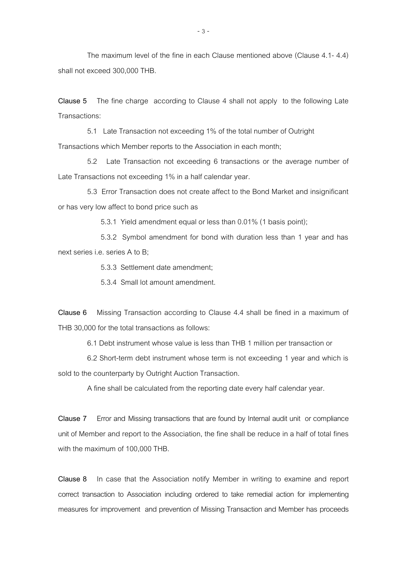The maximum level of the fine in each Clause mentioned above (Clause 4.1- 4.4) shall not exceed 300,000 THB.

**Clause 5** The fine charge according to Clause 4 shall not apply to the following Late Transactions:

5.1 Late Transaction not exceeding 1% of the total number of Outright Transactions which Member reports to the Association in each month;

5.2 Late Transaction not exceeding 6 transactions or the average number of Late Transactions not exceeding 1% in a half calendar year.

5.3 Error Transaction does not create affect to the Bond Market and insignificant or has very low affect to bond price such as

5.3.1 Yield amendment equal or less than 0.01% (1 basis point);

 5.3.2 Symbol amendment for bond with duration less than 1 year and has next series i.e. series A to B;

5.3.3 Settlement date amendment;

5.3.4 Small lot amount amendment.

**Clause 6** Missing Transaction according to Clause 4.4 shall be fined in a maximum of THB 30,000 for the total transactions as follows:

6.1 Debt instrument whose value is less than THB 1 million per transaction or

6.2 Short-term debt instrument whose term is not exceeding 1 year and which is sold to the counterparty by Outright Auction Transaction.

A fine shall be calculated from the reporting date every half calendar year.

**Clause 7** Error and Missing transactions that are found by Internal audit unit or compliance unit of Member and report to the Association, the fine shall be reduce in a half of total fines with the maximum of 100,000 THB.

**Clause 8** In case that the Association notify Member in writing to examine and report correct transaction to Association including ordered to take remedial action for implementing measures for improvement and prevention of Missing Transaction and Member has proceeds